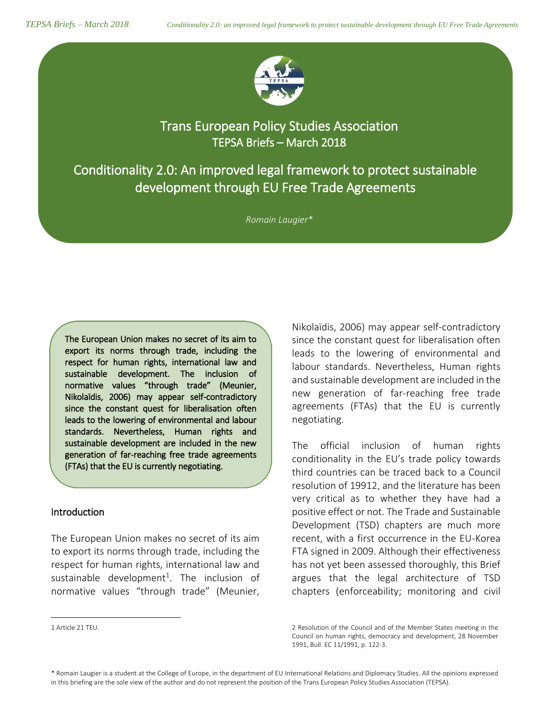

Trans European Policy Studies Association TEPSA Briefs – March 2018

Conditionality 2.0: An improved legal framework to protect sustainable development through EU Free Trade Agreements

*Romain Laugier\**

The European Union makes no secret of its aim to export its norms through trade, including the respect for human rights, international law and sustainable development. The inclusion of normative values "through trade" (Meunier, Nikolaïdis, 2006) may appear self-contradictory since the constant quest for liberalisation often leads to the lowering of environmental and labour standards. Nevertheless, Human rights and sustainable development are included in the new generation of far-reaching free trade agreements (FTAs) that the EU is currently negotiating.

## Introduction

 $\overline{\phantom{a}}$ 

 $\overline{\phantom{0}}$ 

The European Union makes no secret of its aim to export its norms through trade, including the respect for human rights, international law and sustainable development<sup>1</sup>. The inclusion of normative values "through trade" (Meunier,

Nikolaïdis, 2006) may appear self-contradictory since the constant quest for liberalisation often leads to the lowering of environmental and labour standards. Nevertheless, Human rights and sustainable development are included in the new generation of far-reaching free trade agreements (FTAs) that the EU is currently negotiating.

The official inclusion of human rights conditionality in the EU's trade policy towards third countries can be traced back to a Council resolution of 19912, and the literature has been very critical as to whether they have had a positive effect or not. The Trade and Sustainable Development (TSD) chapters are much more recent, with a first occurrence in the EU-Korea FTA signed in 2009. Although their effectiveness has not yet been assessed thoroughly, this Brief argues that the legal architecture of TSD chapters (enforceability; monitoring and civil

 $\overline{a}$ 

<sup>2</sup> Resolution of the Council and of the Member States meeting in the Council on human rights, democracy and development, 28 November 1991, Bull. EC 11/1991, p. 122-3.

<sup>1</sup> Article 21 TEU.

<sup>\*</sup> Romain Laugier is a student at the College of Europe, in the department of EU International Relations and Diplomacy Studies. All the opinions expressed in this briefing are the sole view of the author and do not represent the position of the Trans European Policy Studies Association (TEPSA).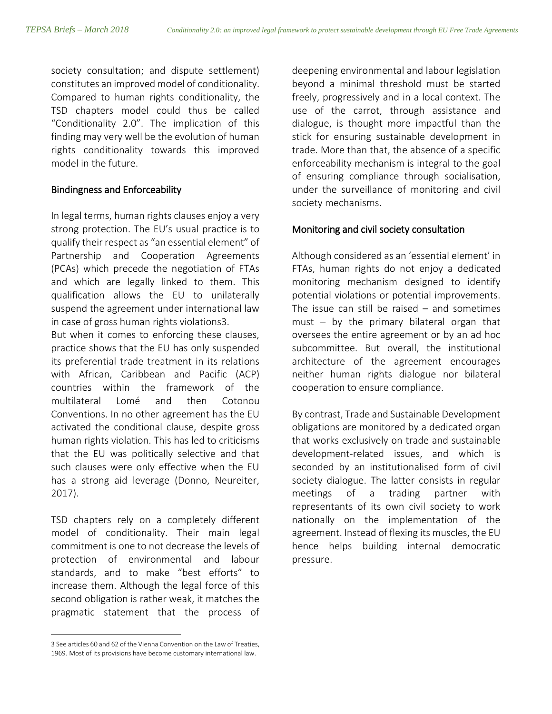society consultation; and dispute settlement) constitutes an improved model of conditionality. Compared to human rights conditionality, the TSD chapters model could thus be called "Conditionality 2.0". The implication of this finding may very well be the evolution of human rights conditionality towards this improved model in the future.

# Bindingness and Enforceability

In legal terms, human rights clauses enjoy a very strong protection. The EU's usual practice is to qualify their respect as "an essential element" of Partnership and Cooperation Agreements (PCAs) which precede the negotiation of FTAs and which are legally linked to them. This qualification allows the EU to unilaterally suspend the agreement under international law in case of gross human rights violations3.

But when it comes to enforcing these clauses, practice shows that the EU has only suspended its preferential trade treatment in its relations with African, Caribbean and Pacific (ACP) countries within the framework of the multilateral Lomé and then Cotonou Conventions. In no other agreement has the EU activated the conditional clause, despite gross human rights violation. This has led to criticisms that the EU was politically selective and that such clauses were only effective when the EU has a strong aid leverage (Donno, Neureiter, 2017).

TSD chapters rely on a completely different model of conditionality. Their main legal commitment is one to not decrease the levels of protection of environmental and labour standards, and to make "best efforts" to increase them. Although the legal force of this second obligation is rather weak, it matches the pragmatic statement that the process of

 $\overline{a}$ 

deepening environmental and labour legislation beyond a minimal threshold must be started freely, progressively and in a local context. The use of the carrot, through assistance and dialogue, is thought more impactful than the stick for ensuring sustainable development in trade. More than that, the absence of a specific enforceability mechanism is integral to the goal of ensuring compliance through socialisation, under the surveillance of monitoring and civil society mechanisms.

# Monitoring and civil society consultation

Although considered as an 'essential element' in FTAs, human rights do not enjoy a dedicated monitoring mechanism designed to identify potential violations or potential improvements. The issue can still be raised  $-$  and sometimes must – by the primary bilateral organ that oversees the entire agreement or by an ad hoc subcommittee. But overall, the institutional architecture of the agreement encourages neither human rights dialogue nor bilateral cooperation to ensure compliance.

By contrast, Trade and Sustainable Development obligations are monitored by a dedicated organ that works exclusively on trade and sustainable development-related issues, and which is seconded by an institutionalised form of civil society dialogue. The latter consists in regular meetings of a trading partner with representants of its own civil society to work nationally on the implementation of the agreement. Instead of flexing its muscles, the EU hence helps building internal democratic pressure.

<sup>3</sup> See articles 60 and 62 of the Vienna Convention on the Law of Treaties, 1969. Most of its provisions have become customary international law.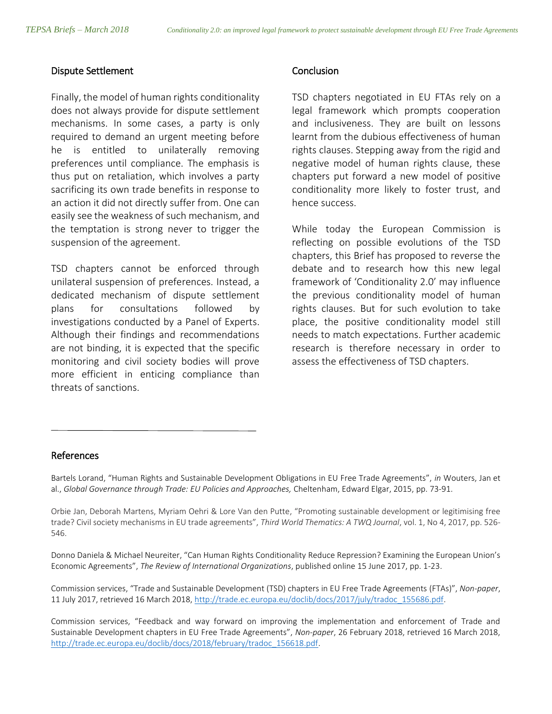#### Dispute Settlement

Finally, the model of human rights conditionality does not always provide for dispute settlement mechanisms. In some cases, a party is only required to demand an urgent meeting before he is entitled to unilaterally removing preferences until compliance. The emphasis is thus put on retaliation, which involves a party sacrificing its own trade benefits in response to an action it did not directly suffer from. One can easily see the weakness of such mechanism, and the temptation is strong never to trigger the suspension of the agreement.

TSD chapters cannot be enforced through unilateral suspension of preferences. Instead, a dedicated mechanism of dispute settlement plans for consultations followed by investigations conducted by a Panel of Experts. Although their findings and recommendations are not binding, it is expected that the specific monitoring and civil society bodies will prove more efficient in enticing compliance than threats of sanctions.

#### **Conclusion**

TSD chapters negotiated in EU FTAs rely on a legal framework which prompts cooperation and inclusiveness. They are built on lessons learnt from the dubious effectiveness of human rights clauses. Stepping away from the rigid and negative model of human rights clause, these chapters put forward a new model of positive conditionality more likely to foster trust, and hence success.

While today the European Commission is reflecting on possible evolutions of the TSD chapters, this Brief has proposed to reverse the debate and to research how this new legal framework of 'Conditionality 2.0' may influence the previous conditionality model of human rights clauses. But for such evolution to take place, the positive conditionality model still needs to match expectations. Further academic research is therefore necessary in order to assess the effectiveness of TSD chapters.

## References

 $\overline{a}$ 

Bartels Lorand, "Human Rights and Sustainable Development Obligations in EU Free Trade Agreements", *in* Wouters, Jan et al., *Global Governance through Trade: EU Policies and Approaches,* Cheltenham, Edward Elgar, 2015, [pp. 73-91.](https://www.coleurope.eu/system/files/uploads/intranet-page/bartels.pdf)

Orbie Jan, Deborah Martens, Myriam Oehri & Lore Van den Putte, "Promoting sustainable development or legitimising free trade? Civil society mechanisms in EU trade agreements", *Third World Thematics: A TWQ Journal*, vol. 1, No 4, 2017, pp. 526- 546.

Donno Daniela & Michael Neureiter, "Can Human Rights Conditionality Reduce Repression? Examining the European Union's Economic Agreements", *The Review of International Organizations*, published online 15 June 2017, pp. 1-23.

Commission services, "Trade and Sustainable Development (TSD) chapters in EU Free Trade Agreements (FTAs)", *Non-paper*, 11 July 2017, retrieved 16 March 2018, [http://trade.ec.europa.eu/doclib/docs/2017/july/tradoc\\_155686.pdf.](http://trade.ec.europa.eu/doclib/docs/2017/july/tradoc_155686.pdf)

Commission services, "Feedback and way forward on improving the implementation and enforcement of Trade and Sustainable Development chapters in EU Free Trade Agreements", *Non-paper*, 26 February 2018, retrieved 16 March 2018, [http://trade.ec.europa.eu/doclib/docs/2018/february/tradoc\\_156618.pdf.](http://trade.ec.europa.eu/doclib/docs/2018/february/tradoc_156618.pdf)